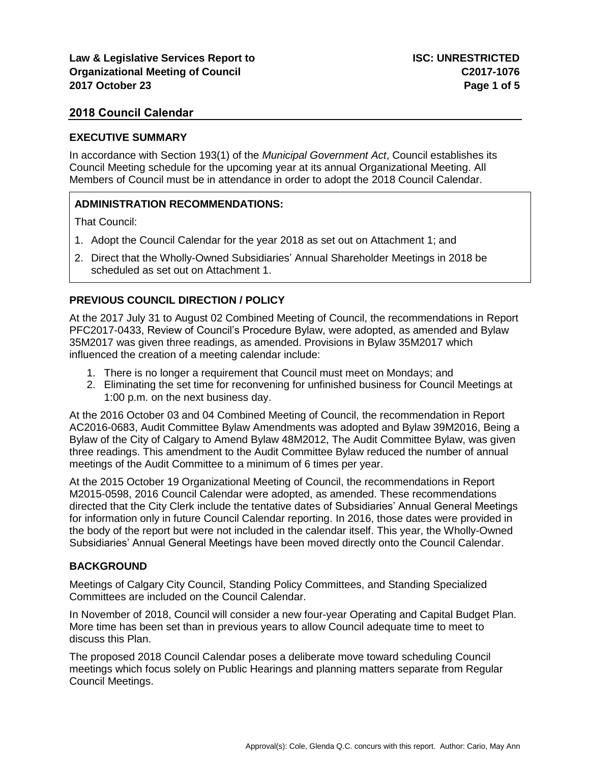### **EXECUTIVE SUMMARY**

In accordance with Section 193(1) of the *Municipal Government Act*, Council establishes its Council Meeting schedule for the upcoming year at its annual Organizational Meeting. All Members of Council must be in attendance in order to adopt the 2018 Council Calendar.

# **ADMINISTRATION RECOMMENDATIONS:**

That Council:

- 1. Adopt the Council Calendar for the year 2018 as set out on Attachment 1; and
- 2. Direct that the Wholly-Owned Subsidiaries' Annual Shareholder Meetings in 2018 be scheduled as set out on Attachment 1.

# **PREVIOUS COUNCIL DIRECTION / POLICY**

At the 2017 July 31 to August 02 Combined Meeting of Council, the recommendations in Report PFC2017-0433, Review of Council's Procedure Bylaw, were adopted, as amended and Bylaw 35M2017 was given three readings, as amended. Provisions in Bylaw 35M2017 which influenced the creation of a meeting calendar include:

- 1. There is no longer a requirement that Council must meet on Mondays; and
- 2. Eliminating the set time for reconvening for unfinished business for Council Meetings at 1:00 p.m. on the next business day.

At the 2016 October 03 and 04 Combined Meeting of Council, the recommendation in Report AC2016-0683, Audit Committee Bylaw Amendments was adopted and Bylaw 39M2016, Being a Bylaw of the City of Calgary to Amend Bylaw 48M2012, The Audit Committee Bylaw, was given three readings. This amendment to the Audit Committee Bylaw reduced the number of annual meetings of the Audit Committee to a minimum of 6 times per year.

At the 2015 October 19 Organizational Meeting of Council, the recommendations in Report M2015-0598, 2016 Council Calendar were adopted, as amended. These recommendations directed that the City Clerk include the tentative dates of Subsidiaries' Annual General Meetings for information only in future Council Calendar reporting. In 2016, those dates were provided in the body of the report but were not included in the calendar itself. This year, the Wholly-Owned Subsidiaries' Annual General Meetings have been moved directly onto the Council Calendar.

## **BACKGROUND**

Meetings of Calgary City Council, Standing Policy Committees, and Standing Specialized Committees are included on the Council Calendar.

In November of 2018, Council will consider a new four-year Operating and Capital Budget Plan. More time has been set than in previous years to allow Council adequate time to meet to discuss this Plan.

The proposed 2018 Council Calendar poses a deliberate move toward scheduling Council meetings which focus solely on Public Hearings and planning matters separate from Regular Council Meetings.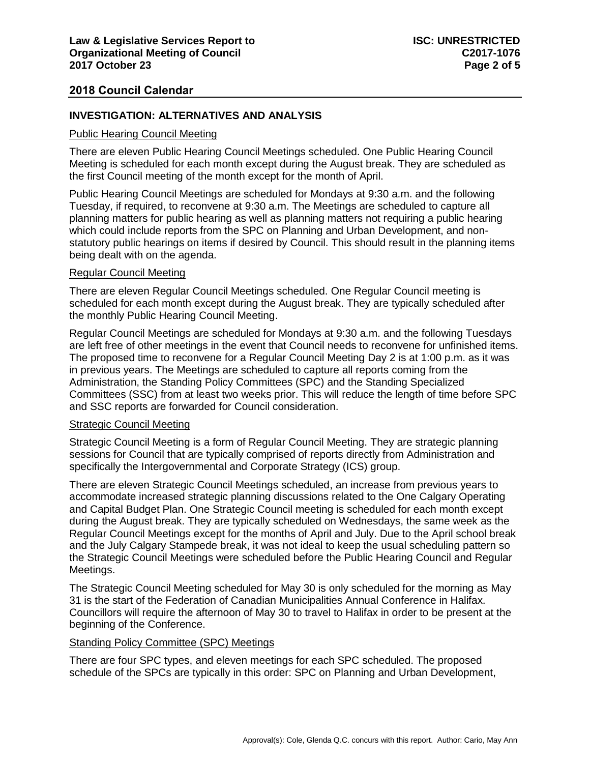## **INVESTIGATION: ALTERNATIVES AND ANALYSIS**

## Public Hearing Council Meeting

There are eleven Public Hearing Council Meetings scheduled. One Public Hearing Council Meeting is scheduled for each month except during the August break. They are scheduled as the first Council meeting of the month except for the month of April.

Public Hearing Council Meetings are scheduled for Mondays at 9:30 a.m. and the following Tuesday, if required, to reconvene at 9:30 a.m. The Meetings are scheduled to capture all planning matters for public hearing as well as planning matters not requiring a public hearing which could include reports from the SPC on Planning and Urban Development, and nonstatutory public hearings on items if desired by Council. This should result in the planning items being dealt with on the agenda.

### Regular Council Meeting

There are eleven Regular Council Meetings scheduled. One Regular Council meeting is scheduled for each month except during the August break. They are typically scheduled after the monthly Public Hearing Council Meeting.

Regular Council Meetings are scheduled for Mondays at 9:30 a.m. and the following Tuesdays are left free of other meetings in the event that Council needs to reconvene for unfinished items. The proposed time to reconvene for a Regular Council Meeting Day 2 is at 1:00 p.m. as it was in previous years. The Meetings are scheduled to capture all reports coming from the Administration, the Standing Policy Committees (SPC) and the Standing Specialized Committees (SSC) from at least two weeks prior. This will reduce the length of time before SPC and SSC reports are forwarded for Council consideration.

#### Strategic Council Meeting

Strategic Council Meeting is a form of Regular Council Meeting. They are strategic planning sessions for Council that are typically comprised of reports directly from Administration and specifically the Intergovernmental and Corporate Strategy (ICS) group.

There are eleven Strategic Council Meetings scheduled, an increase from previous years to accommodate increased strategic planning discussions related to the One Calgary Operating and Capital Budget Plan. One Strategic Council meeting is scheduled for each month except during the August break. They are typically scheduled on Wednesdays, the same week as the Regular Council Meetings except for the months of April and July. Due to the April school break and the July Calgary Stampede break, it was not ideal to keep the usual scheduling pattern so the Strategic Council Meetings were scheduled before the Public Hearing Council and Regular Meetings.

The Strategic Council Meeting scheduled for May 30 is only scheduled for the morning as May 31 is the start of the Federation of Canadian Municipalities Annual Conference in Halifax. Councillors will require the afternoon of May 30 to travel to Halifax in order to be present at the beginning of the Conference.

## Standing Policy Committee (SPC) Meetings

There are four SPC types, and eleven meetings for each SPC scheduled. The proposed schedule of the SPCs are typically in this order: SPC on Planning and Urban Development,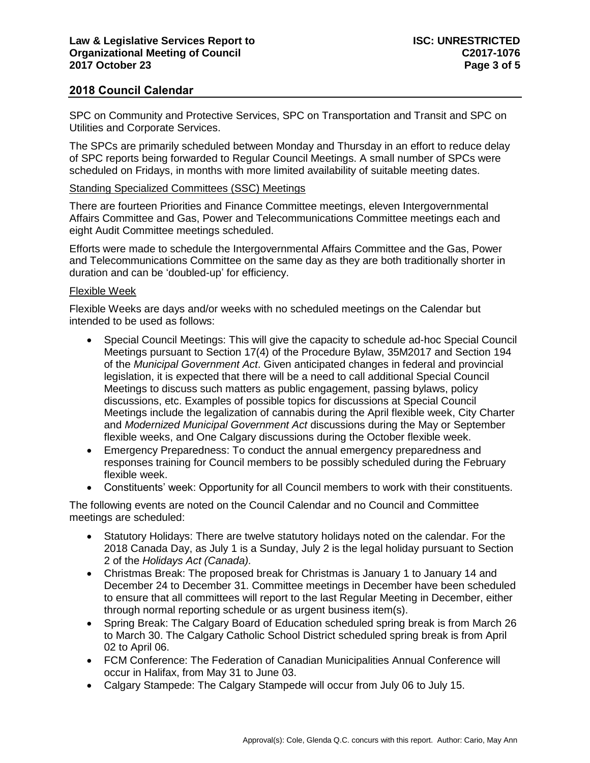SPC on Community and Protective Services, SPC on Transportation and Transit and SPC on Utilities and Corporate Services.

The SPCs are primarily scheduled between Monday and Thursday in an effort to reduce delay of SPC reports being forwarded to Regular Council Meetings. A small number of SPCs were scheduled on Fridays, in months with more limited availability of suitable meeting dates.

## Standing Specialized Committees (SSC) Meetings

There are fourteen Priorities and Finance Committee meetings, eleven Intergovernmental Affairs Committee and Gas, Power and Telecommunications Committee meetings each and eight Audit Committee meetings scheduled.

Efforts were made to schedule the Intergovernmental Affairs Committee and the Gas, Power and Telecommunications Committee on the same day as they are both traditionally shorter in duration and can be 'doubled-up' for efficiency.

## Flexible Week

Flexible Weeks are days and/or weeks with no scheduled meetings on the Calendar but intended to be used as follows:

- Special Council Meetings: This will give the capacity to schedule ad-hoc Special Council Meetings pursuant to Section 17(4) of the Procedure Bylaw, 35M2017 and Section 194 of the *Municipal Government Act*. Given anticipated changes in federal and provincial legislation, it is expected that there will be a need to call additional Special Council Meetings to discuss such matters as public engagement, passing bylaws, policy discussions, etc. Examples of possible topics for discussions at Special Council Meetings include the legalization of cannabis during the April flexible week, City Charter and *Modernized Municipal Government Act* discussions during the May or September flexible weeks, and One Calgary discussions during the October flexible week.
- Emergency Preparedness: To conduct the annual emergency preparedness and responses training for Council members to be possibly scheduled during the February flexible week.
- Constituents' week: Opportunity for all Council members to work with their constituents.

The following events are noted on the Council Calendar and no Council and Committee meetings are scheduled:

- Statutory Holidays: There are twelve statutory holidays noted on the calendar. For the 2018 Canada Day, as July 1 is a Sunday, July 2 is the legal holiday pursuant to Section 2 of the *Holidays Act (Canada).*
- Christmas Break: The proposed break for Christmas is January 1 to January 14 and December 24 to December 31. Committee meetings in December have been scheduled to ensure that all committees will report to the last Regular Meeting in December, either through normal reporting schedule or as urgent business item(s).
- Spring Break: The Calgary Board of Education scheduled spring break is from March 26 to March 30. The Calgary Catholic School District scheduled spring break is from April 02 to April 06.
- FCM Conference: The Federation of Canadian Municipalities Annual Conference will occur in Halifax, from May 31 to June 03.
- Calgary Stampede: The Calgary Stampede will occur from July 06 to July 15.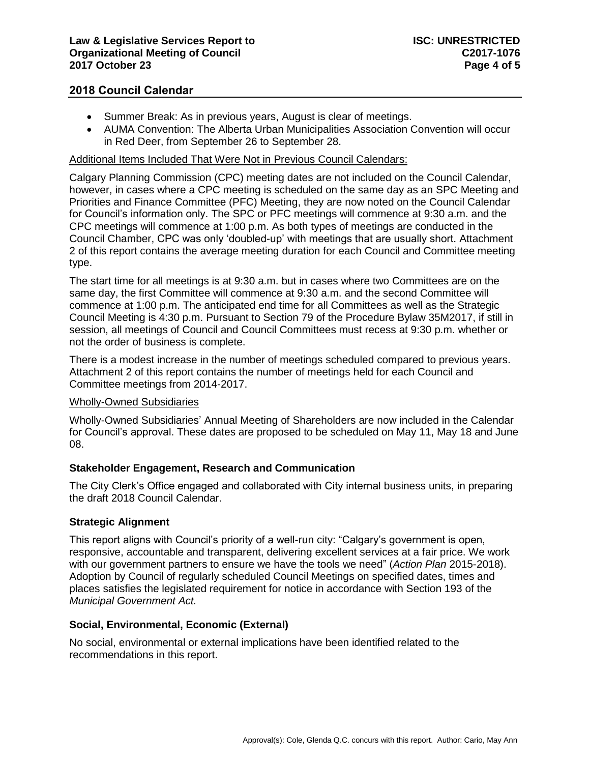- Summer Break: As in previous years, August is clear of meetings.
- AUMA Convention: The Alberta Urban Municipalities Association Convention will occur in Red Deer, from September 26 to September 28.

# Additional Items Included That Were Not in Previous Council Calendars:

Calgary Planning Commission (CPC) meeting dates are not included on the Council Calendar, however, in cases where a CPC meeting is scheduled on the same day as an SPC Meeting and Priorities and Finance Committee (PFC) Meeting, they are now noted on the Council Calendar for Council's information only. The SPC or PFC meetings will commence at 9:30 a.m. and the CPC meetings will commence at 1:00 p.m. As both types of meetings are conducted in the Council Chamber, CPC was only 'doubled-up' with meetings that are usually short. Attachment 2 of this report contains the average meeting duration for each Council and Committee meeting type.

The start time for all meetings is at 9:30 a.m. but in cases where two Committees are on the same day, the first Committee will commence at 9:30 a.m. and the second Committee will commence at 1:00 p.m. The anticipated end time for all Committees as well as the Strategic Council Meeting is 4:30 p.m. Pursuant to Section 79 of the Procedure Bylaw 35M2017, if still in session, all meetings of Council and Council Committees must recess at 9:30 p.m. whether or not the order of business is complete.

There is a modest increase in the number of meetings scheduled compared to previous years. Attachment 2 of this report contains the number of meetings held for each Council and Committee meetings from 2014-2017.

## Wholly-Owned Subsidiaries

Wholly-Owned Subsidiaries' Annual Meeting of Shareholders are now included in the Calendar for Council's approval. These dates are proposed to be scheduled on May 11, May 18 and June 08.

# **Stakeholder Engagement, Research and Communication**

The City Clerk's Office engaged and collaborated with City internal business units, in preparing the draft 2018 Council Calendar.

## **Strategic Alignment**

This report aligns with Council's priority of a well-run city: "Calgary's government is open, responsive, accountable and transparent, delivering excellent services at a fair price. We work with our government partners to ensure we have the tools we need" (*Action Plan* 2015-2018). Adoption by Council of regularly scheduled Council Meetings on specified dates, times and places satisfies the legislated requirement for notice in accordance with Section 193 of the *Municipal Government Act.*

## **Social, Environmental, Economic (External)**

No social, environmental or external implications have been identified related to the recommendations in this report.